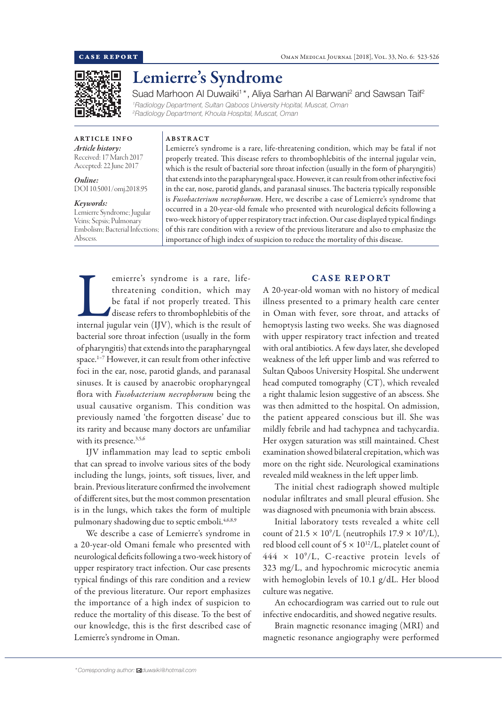

# Lemierre's Syndrome

ABSTRACT

Suad Marhoon Al Duwaiki<sup>1\*</sup>, Aliya Sarhan Al Barwani<sup>2</sup> and Sawsan Taif<sup>2</sup> *1 Radiology Department, Sultan Qaboos University Hopital, Muscat, Oman 2 Radiology Department, Khoula Hospital, Muscat, Oman*

ARTICLE INFO *Article history:* Received: 17 March 2017 Accepted: 22 June 2017

*Online:* DOI 10.5001/omj.2018.95

#### *Keywords:*

Lemierre Syndrome; Jugular Veins; Sepsis; Pulmonary Embolism; Bacterial Infections; Abscess.

Lemierre's syndrome is a rare, life-threatening condition, which may be fatal if not properly treated. This disease refers to thrombophlebitis of the internal jugular vein, which is the result of bacterial sore throat infection (usually in the form of pharyngitis) that extends into the parapharyngeal space. However, it can result from other infective foci in the ear, nose, parotid glands, and paranasal sinuses. The bacteria typically responsible is *Fusobacterium necrophorum*. Here, we describe a case of Lemierre's syndrome that occurred in a 20-year-old female who presented with neurological deficits following a two-week history of upper respiratory tract infection. Our case displayed typical findings of this rare condition with a review of the previous literature and also to emphasize the importance of high index of suspicion to reduce the mortality of this disease.

emierre's syndrome is a rare, life-<br>threatening condition, which may<br>be fatal if not properly treated. This<br>disease refers to thrombophlebitis of the<br>internal jugular vein (IJV), which is the result of threatening condition, which may be fatal if not properly treated. This disease refers to thrombophlebitis of the bacterial sore throat infection (usually in the form of pharyngitis) that extends into the parapharyngeal space.1–7 However, it can result from other infective foci in the ear, nose, parotid glands, and paranasal sinuses. It is caused by anaerobic oropharyngeal flora with *Fusobacterium necrophorum* being the usual causative organism. This condition was previously named 'the forgotten disease' due to its rarity and because many doctors are unfamiliar with its presence.<sup>3,5,6</sup>

IJV inflammation may lead to septic emboli that can spread to involve various sites of the body including the lungs, joints, soft tissues, liver, and brain. Previous literature confirmed the involvement of different sites, but the most common presentation is in the lungs, which takes the form of multiple pulmonary shadowing due to septic emboli.<sup>4,6,8,9</sup>

We describe a case of Lemierre's syndrome in a 20-year-old Omani female who presented with neurological deficits following a two-week history of upper respiratory tract infection. Our case presents typical findings of this rare condition and a review of the previous literature. Our report emphasizes the importance of a high index of suspicion to reduce the mortality of this disease. To the best of our knowledge, this is the first described case of Lemierre's syndrome in Oman.

## CASE REPORT

A 20-year-old woman with no history of medical illness presented to a primary health care center in Oman with fever, sore throat, and attacks of hemoptysis lasting two weeks. She was diagnosed with upper respiratory tract infection and treated with oral antibiotics. A few days later, she developed weakness of the left upper limb and was referred to Sultan Qaboos University Hospital. She underwent head computed tomography (CT), which revealed a right thalamic lesion suggestive of an abscess. She was then admitted to the hospital. On admission, the patient appeared conscious but ill. She was mildly febrile and had tachypnea and tachycardia. Her oxygen saturation was still maintained. Chest examination showed bilateral crepitation, which was more on the right side. Neurological examinations revealed mild weakness in the left upper limb.

The initial chest radiograph showed multiple nodular infiltrates and small pleural effusion. She was diagnosed with pneumonia with brain abscess.

Initial laboratory tests revealed a white cell count of  $21.5 \times 10^9$ /L (neutrophils  $17.9 \times 10^9$ /L), red blood cell count of  $5 \times 10^{12}$ /L, platelet count of  $444 \times 10^9$ /L, C-reactive protein levels of 323 mg/L, and hypochromic microcytic anemia with hemoglobin levels of 10.1 g/dL. Her blood culture was negative.

An echocardiogram was carried out to rule out infective endocarditis, and showed negative results.

Brain magnetic resonance imaging (MRI) and magnetic resonance angiography were performed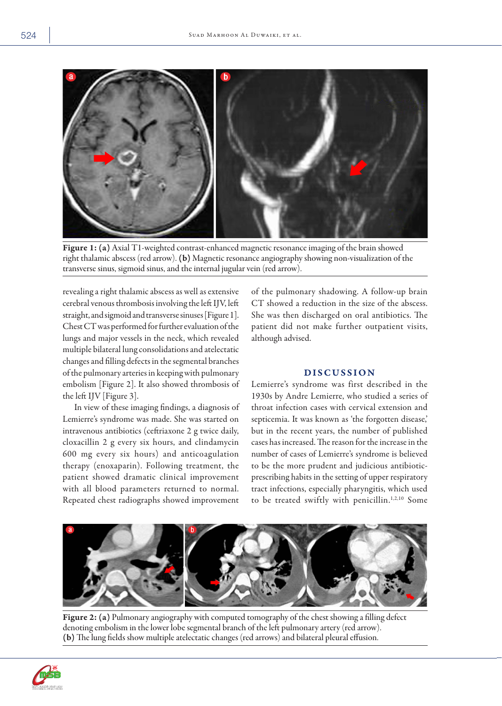

Figure 1: (a) Axial T1-weighted contrast-enhanced magnetic resonance imaging of the brain showed right thalamic abscess (red arrow). (b) Magnetic resonance angiography showing non-visualization of the transverse sinus, sigmoid sinus, and the internal jugular vein (red arrow).

revealing a right thalamic abscess as well as extensive cerebral venous thrombosis involving the left IJV, left straight, and sigmoid and transverse sinuses [Figure 1]. Chest CT was performed for further evaluation of the lungs and major vessels in the neck, which revealed multiple bilateral lung consolidations and atelectatic changes and filling defects in the segmental branches of the pulmonary arteries in keeping with pulmonary embolism [Figure 2]. It also showed thrombosis of the left IJV [Figure 3].

In view of these imaging findings, a diagnosis of Lemierre's syndrome was made. She was started on intravenous antibiotics (ceftriaxone 2 g twice daily, cloxacillin 2 g every six hours, and clindamycin 600 mg every six hours) and anticoagulation therapy (enoxaparin). Following treatment, the patient showed dramatic clinical improvement with all blood parameters returned to normal. Repeated chest radiographs showed improvement

of the pulmonary shadowing. A follow-up brain CT showed a reduction in the size of the abscess. She was then discharged on oral antibiotics. The patient did not make further outpatient visits, although advised.

## DISCUSSION

Lemierre's syndrome was first described in the 1930s by Andre Lemierre, who studied a series of throat infection cases with cervical extension and septicemia. It was known as 'the forgotten disease,' but in the recent years, the number of published cases has increased. The reason for the increase in the number of cases of Lemierre's syndrome is believed to be the more prudent and judicious antibioticprescribing habits in the setting of upper respiratory tract infections, especially pharyngitis, which used to be treated swiftly with penicillin.<sup>1,2,10</sup> Some



Figure 2: (a) Pulmonary angiography with computed tomography of the chest showing a filling defect denoting embolism in the lower lobe segmental branch of the left pulmonary artery (red arrow). (b) The lung fields show multiple atelectatic changes (red arrows) and bilateral pleural effusion.

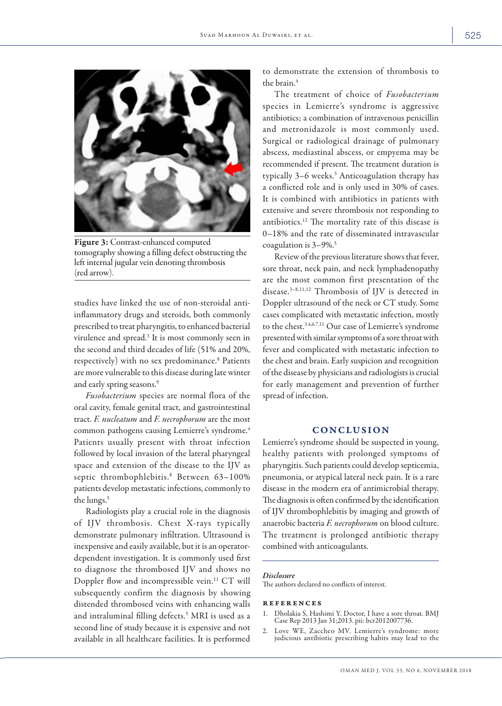

Figure 3: Contrast-enhanced computed tomography showing a filling defect obstructing the left internal jugular vein denoting thrombosis (red arrow).

studies have linked the use of non-steroidal antiinflammatory drugs and steroids, both commonly prescribed to treat pharyngitis, to enhanced bacterial virulence and spread.3 It is most commonly seen in the second and third decades of life (51% and 20%, respectively) with no sex predominance.8 Patients are more vulnerable to this disease during late winter and early spring seasons.9

*Fusobacterium* species are normal flora of the oral cavity, female genital tract, and gastrointestinal tract. *F. nucleatum* and *F. necrophorum* are the most common pathogens causing Lemierre's syndrome.<sup>4</sup> Patients usually present with throat infection followed by local invasion of the lateral pharyngeal space and extension of the disease to the IJV as septic thrombophlebitis.8 Between 63–100% patients develop metastatic infections, commonly to the lungs.<sup>5</sup>

Radiologists play a crucial role in the diagnosis of IJV thrombosis. Chest X-rays typically demonstrate pulmonary infiltration. Ultrasound is inexpensive and easily available, but it is an operatordependent investigation. It is commonly used first to diagnose the thrombosed IJV and shows no Doppler flow and incompressible vein.<sup>11</sup> CT will subsequently confirm the diagnosis by showing distended thrombosed veins with enhancing walls and intraluminal filling defects.5 MRI is used as a second line of study because it is expensive and not available in all healthcare facilities. It is performed

to demonstrate the extension of thrombosis to the brain  $4$ 

The treatment of choice of *Fusobacterium* species in Lemierre's syndrome is aggressive antibiotics; a combination of intravenous penicillin and metronidazole is most commonly used. Surgical or radiological drainage of pulmonary abscess, mediastinal abscess, or empyema may be recommended if present. The treatment duration is typically 3–6 weeks.3 Anticoagulation therapy has a conflicted role and is only used in 30% of cases. It is combined with antibiotics in patients with extensive and severe thrombosis not responding to antibiotics.12 The mortality rate of this disease is 0–18% and the rate of disseminated intravascular coagulation is 3-9%.<sup>5</sup>

Review of the previous literature shows that fever, sore throat, neck pain, and neck lymphadenopathy are the most common first presentation of the disease.3–8,11,12 Thrombosis of IJV is detected in Doppler ultrasound of the neck or CT study. Some cases complicated with metastatic infection, mostly to the chest.3,4,6,7,11 Our case of Lemierre's syndrome presented with similar symptoms of a sore throat with fever and complicated with metastatic infection to the chest and brain. Early suspicion and recognition of the disease by physicians and radiologists is crucial for early management and prevention of further spread of infection.

## **CONCLUSION**

Lemierre's syndrome should be suspected in young, healthy patients with prolonged symptoms of pharyngitis. Such patients could develop septicemia, pneumonia, or atypical lateral neck pain. It is a rare disease in the modern era of antimicrobial therapy. The diagnosis is often confirmed by the identification of IJV thrombophlebitis by imaging and growth of anaerobic bacteria *F. necrophorum* on blood culture. The treatment is prolonged antibiotic therapy combined with anticoagulants.

### *Disclosure*

The authors declared no conflicts of interest.

#### references

- 1. Dholakia S, Hashimi Y. Doctor, I have a sore throat. BMJ Case Rep 2013 Jan 31;2013. pii: bcr2012007736.
- 2. Love WE, Zaccheo MV. Lemierre's syndrome: more judicious antibiotic prescribing habits may lead to the